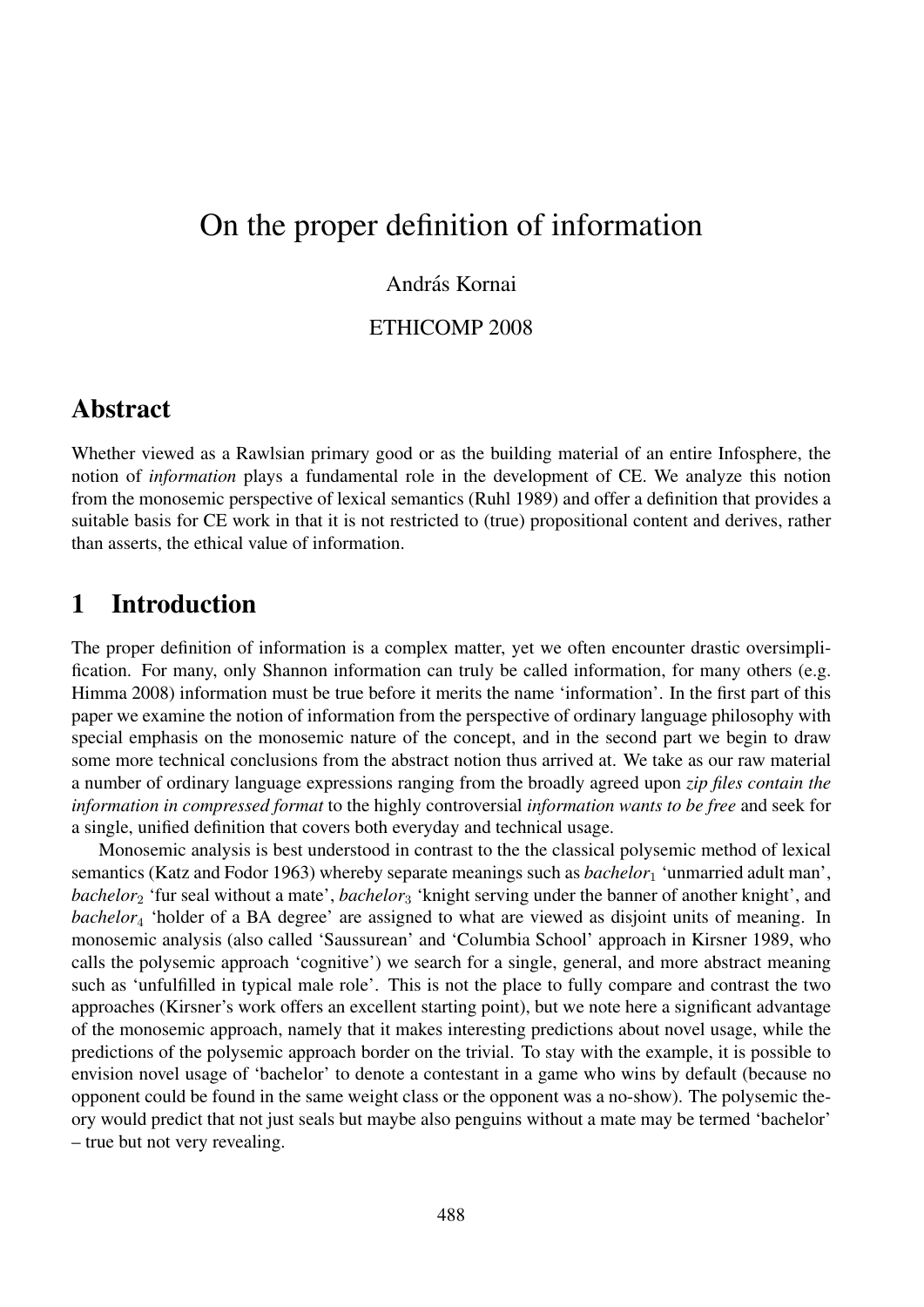# On the proper definition of information

#### András Kornai

#### ETHICOMP 2008

#### Abstract

Whether viewed as a Rawlsian primary good or as the building material of an entire Infosphere, the notion of *information* plays a fundamental role in the development of CE. We analyze this notion from the monosemic perspective of lexical semantics (Ruhl 1989) and offer a definition that provides a suitable basis for CE work in that it is not restricted to (true) propositional content and derives, rather than asserts, the ethical value of information.

### 1 Introduction

The proper definition of information is a complex matter, yet we often encounter drastic oversimplification. For many, only Shannon information can truly be called information, for many others (e.g. Himma 2008) information must be true before it merits the name 'information'. In the first part of this paper we examine the notion of information from the perspective of ordinary language philosophy with special emphasis on the monosemic nature of the concept, and in the second part we begin to draw some more technical conclusions from the abstract notion thus arrived at. We take as our raw material a number of ordinary language expressions ranging from the broadly agreed upon *zip files contain the information in compressed format* to the highly controversial *information wants to be free* and seek for a single, unified definition that covers both everyday and technical usage.

Monosemic analysis is best understood in contrast to the the classical polysemic method of lexical semantics (Katz and Fodor 1963) whereby separate meanings such as *bachelor*<sup>1</sup> 'unmarried adult man', *bachelor*<sup>2</sup> 'fur seal without a mate', *bachelor*<sup>3</sup> 'knight serving under the banner of another knight', and *bachelor*<sup>4</sup> 'holder of a BA degree' are assigned to what are viewed as disjoint units of meaning. In monosemic analysis (also called 'Saussurean' and 'Columbia School' approach in Kirsner 1989, who calls the polysemic approach 'cognitive') we search for a single, general, and more abstract meaning such as 'unfulfilled in typical male role'. This is not the place to fully compare and contrast the two approaches (Kirsner's work offers an excellent starting point), but we note here a significant advantage of the monosemic approach, namely that it makes interesting predictions about novel usage, while the predictions of the polysemic approach border on the trivial. To stay with the example, it is possible to envision novel usage of 'bachelor' to denote a contestant in a game who wins by default (because no opponent could be found in the same weight class or the opponent was a no-show). The polysemic theory would predict that not just seals but maybe also penguins without a mate may be termed 'bachelor' – true but not very revealing.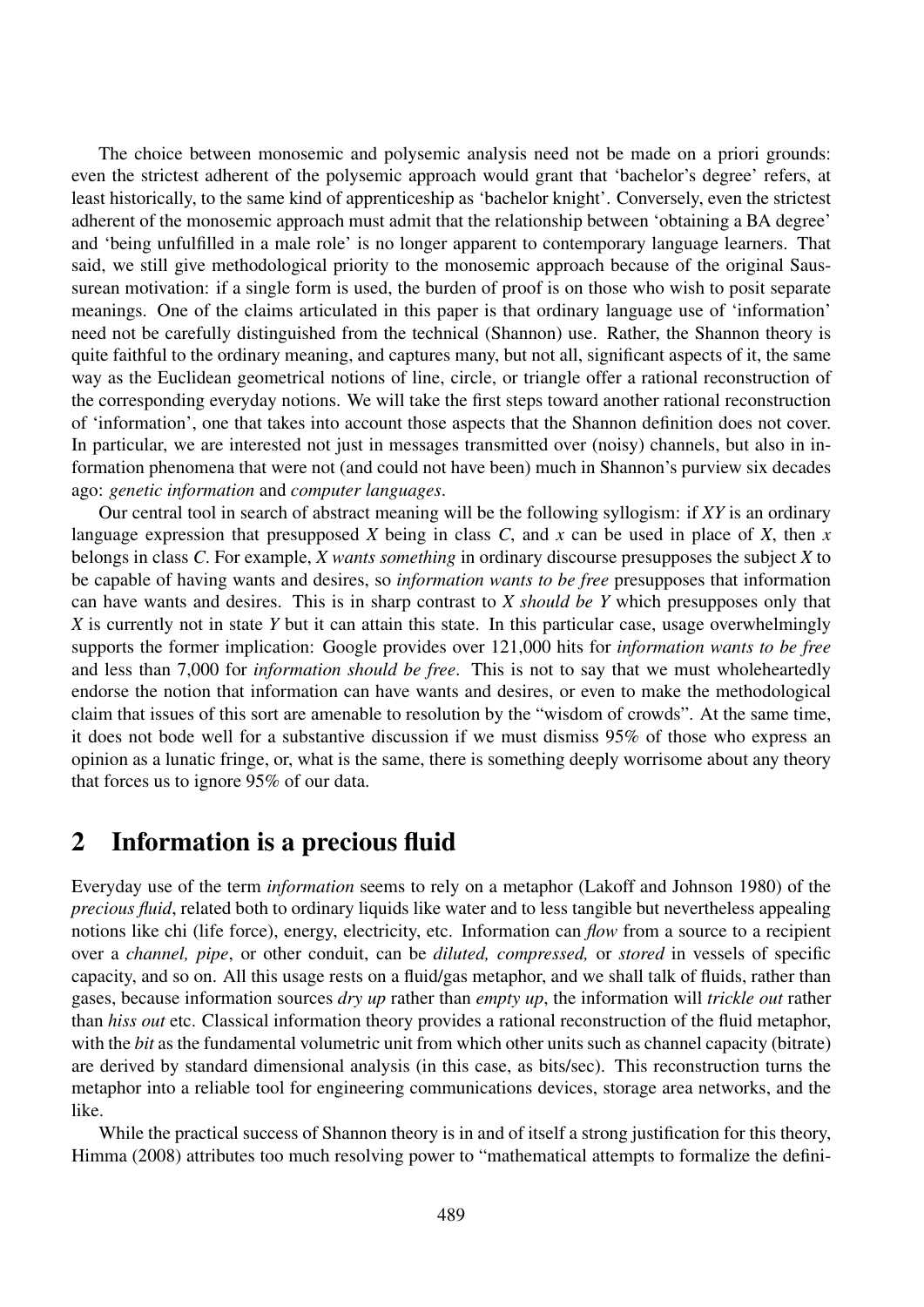The choice between monosemic and polysemic analysis need not be made on a priori grounds: even the strictest adherent of the polysemic approach would grant that 'bachelor's degree' refers, at least historically, to the same kind of apprenticeship as 'bachelor knight'. Conversely, even the strictest adherent of the monosemic approach must admit that the relationship between 'obtaining a BA degree' and 'being unfulfilled in a male role' is no longer apparent to contemporary language learners. That said, we still give methodological priority to the monosemic approach because of the original Saussurean motivation: if a single form is used, the burden of proof is on those who wish to posit separate meanings. One of the claims articulated in this paper is that ordinary language use of 'information' need not be carefully distinguished from the technical (Shannon) use. Rather, the Shannon theory is quite faithful to the ordinary meaning, and captures many, but not all, significant aspects of it, the same way as the Euclidean geometrical notions of line, circle, or triangle offer a rational reconstruction of the corresponding everyday notions. We will take the first steps toward another rational reconstruction of 'information', one that takes into account those aspects that the Shannon definition does not cover. In particular, we are interested not just in messages transmitted over (noisy) channels, but also in information phenomena that were not (and could not have been) much in Shannon's purview six decades ago: *genetic information* and *computer languages*.

Our central tool in search of abstract meaning will be the following syllogism: if *XY* is an ordinary language expression that presupposed *X* being in class *C*, and *x* can be used in place of *X*, then *x* belongs in class *C*. For example, *X wants something* in ordinary discourse presupposes the subject *X* to be capable of having wants and desires, so *information wants to be free* presupposes that information can have wants and desires. This is in sharp contrast to *X should be Y* which presupposes only that *X* is currently not in state *Y* but it can attain this state. In this particular case, usage overwhelmingly supports the former implication: Google provides over 121,000 hits for *information wants to be free* and less than 7,000 for *information should be free*. This is not to say that we must wholeheartedly endorse the notion that information can have wants and desires, or even to make the methodological claim that issues of this sort are amenable to resolution by the "wisdom of crowds". At the same time, it does not bode well for a substantive discussion if we must dismiss 95% of those who express an opinion as a lunatic fringe, or, what is the same, there is something deeply worrisome about any theory that forces us to ignore 95% of our data.

## 2 Information is a precious fluid

Everyday use of the term *information* seems to rely on a metaphor (Lakoff and Johnson 1980) of the *precious fluid*, related both to ordinary liquids like water and to less tangible but nevertheless appealing notions like chi (life force), energy, electricity, etc. Information can *flow* from a source to a recipient over a *channel, pipe*, or other conduit, can be *diluted, compressed,* or *stored* in vessels of specific capacity, and so on. All this usage rests on a fluid/gas metaphor, and we shall talk of fluids, rather than gases, because information sources *dry up* rather than *empty up*, the information will *trickle out* rather than *hiss out* etc. Classical information theory provides a rational reconstruction of the fluid metaphor, with the *bit* as the fundamental volumetric unit from which other units such as channel capacity (bitrate) are derived by standard dimensional analysis (in this case, as bits/sec). This reconstruction turns the metaphor into a reliable tool for engineering communications devices, storage area networks, and the like.

While the practical success of Shannon theory is in and of itself a strong justification for this theory, Himma (2008) attributes too much resolving power to "mathematical attempts to formalize the defini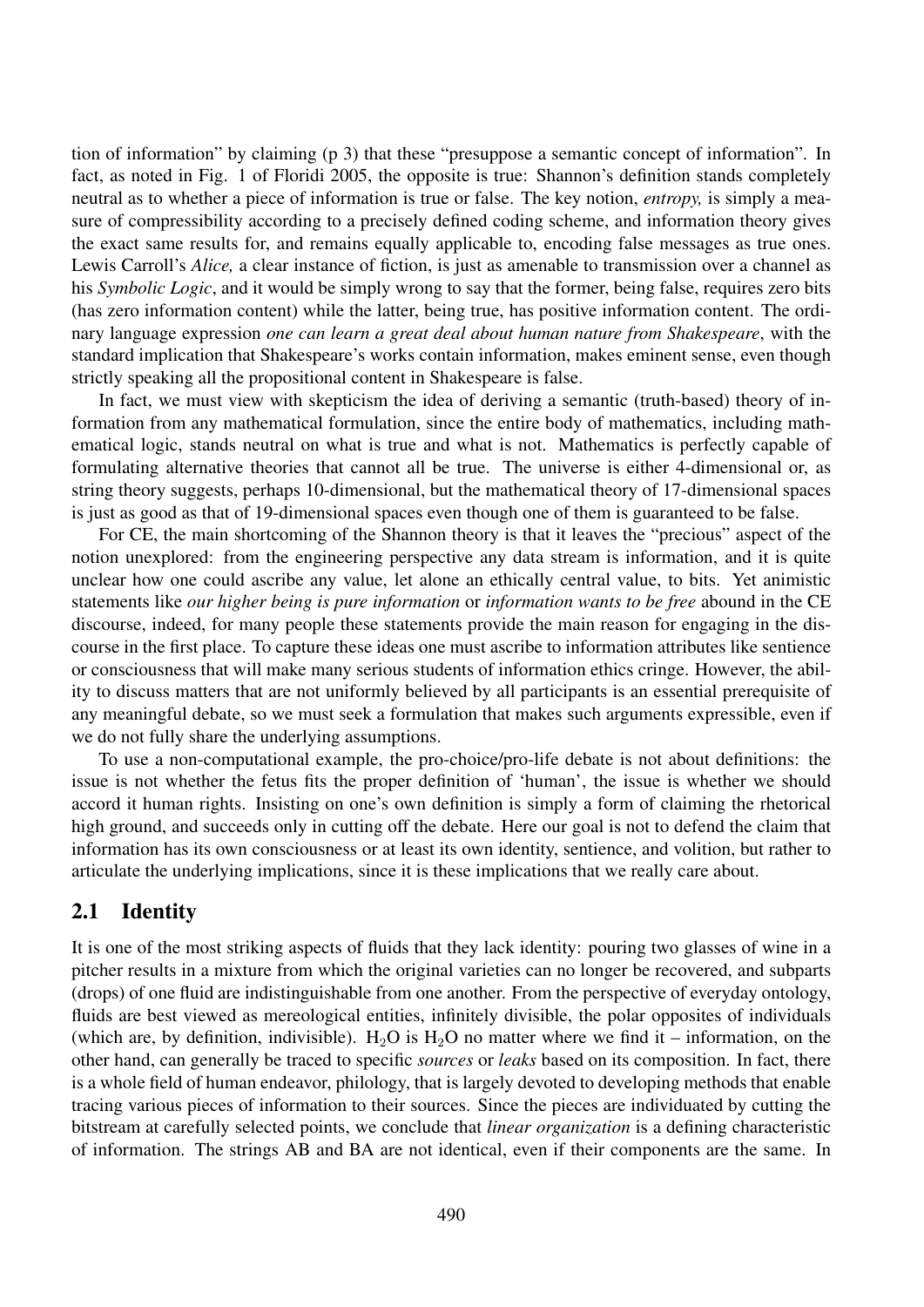tion of information" by claiming (p 3) that these "presuppose a semantic concept of information". In fact, as noted in Fig. 1 of Floridi 2005, the opposite is true: Shannon's definition stands completely neutral as to whether a piece of information is true or false. The key notion, *entropy,* is simply a measure of compressibility according to a precisely defined coding scheme, and information theory gives the exact same results for, and remains equally applicable to, encoding false messages as true ones. Lewis Carroll's *Alice,* a clear instance of fiction, is just as amenable to transmission over a channel as his *Symbolic Logic*, and it would be simply wrong to say that the former, being false, requires zero bits (has zero information content) while the latter, being true, has positive information content. The ordinary language expression *one can learn a great deal about human nature from Shakespeare*, with the standard implication that Shakespeare's works contain information, makes eminent sense, even though strictly speaking all the propositional content in Shakespeare is false.

In fact, we must view with skepticism the idea of deriving a semantic (truth-based) theory of information from any mathematical formulation, since the entire body of mathematics, including mathematical logic, stands neutral on what is true and what is not. Mathematics is perfectly capable of formulating alternative theories that cannot all be true. The universe is either 4-dimensional or, as string theory suggests, perhaps 10-dimensional, but the mathematical theory of 17-dimensional spaces is just as good as that of 19-dimensional spaces even though one of them is guaranteed to be false.

For CE, the main shortcoming of the Shannon theory is that it leaves the "precious" aspect of the notion unexplored: from the engineering perspective any data stream is information, and it is quite unclear how one could ascribe any value, let alone an ethically central value, to bits. Yet animistic statements like *our higher being is pure information* or *information wants to be free* abound in the CE discourse, indeed, for many people these statements provide the main reason for engaging in the discourse in the first place. To capture these ideas one must ascribe to information attributes like sentience or consciousness that will make many serious students of information ethics cringe. However, the ability to discuss matters that are not uniformly believed by all participants is an essential prerequisite of any meaningful debate, so we must seek a formulation that makes such arguments expressible, even if we do not fully share the underlying assumptions.

To use a non-computational example, the pro-choice/pro-life debate is not about definitions: the issue is not whether the fetus fits the proper definition of 'human', the issue is whether we should accord it human rights. Insisting on one's own definition is simply a form of claiming the rhetorical high ground, and succeeds only in cutting off the debate. Here our goal is not to defend the claim that information has its own consciousness or at least its own identity, sentience, and volition, but rather to articulate the underlying implications, since it is these implications that we really care about.

#### 2.1 Identity

It is one of the most striking aspects of fluids that they lack identity: pouring two glasses of wine in a pitcher results in a mixture from which the original varieties can no longer be recovered, and subparts (drops) of one fluid are indistinguishable from one another. From the perspective of everyday ontology, fluids are best viewed as mereological entities, infinitely divisible, the polar opposites of individuals (which are, by definition, indivisible). H<sub>2</sub>O is H<sub>2</sub>O no matter where we find it – information, on the other hand, can generally be traced to specific *sources* or *leaks* based on its composition. In fact, there is a whole field of human endeavor, philology, that is largely devoted to developing methods that enable tracing various pieces of information to their sources. Since the pieces are individuated by cutting the bitstream at carefully selected points, we conclude that *linear organization* is a defining characteristic of information. The strings AB and BA are not identical, even if their components are the same. In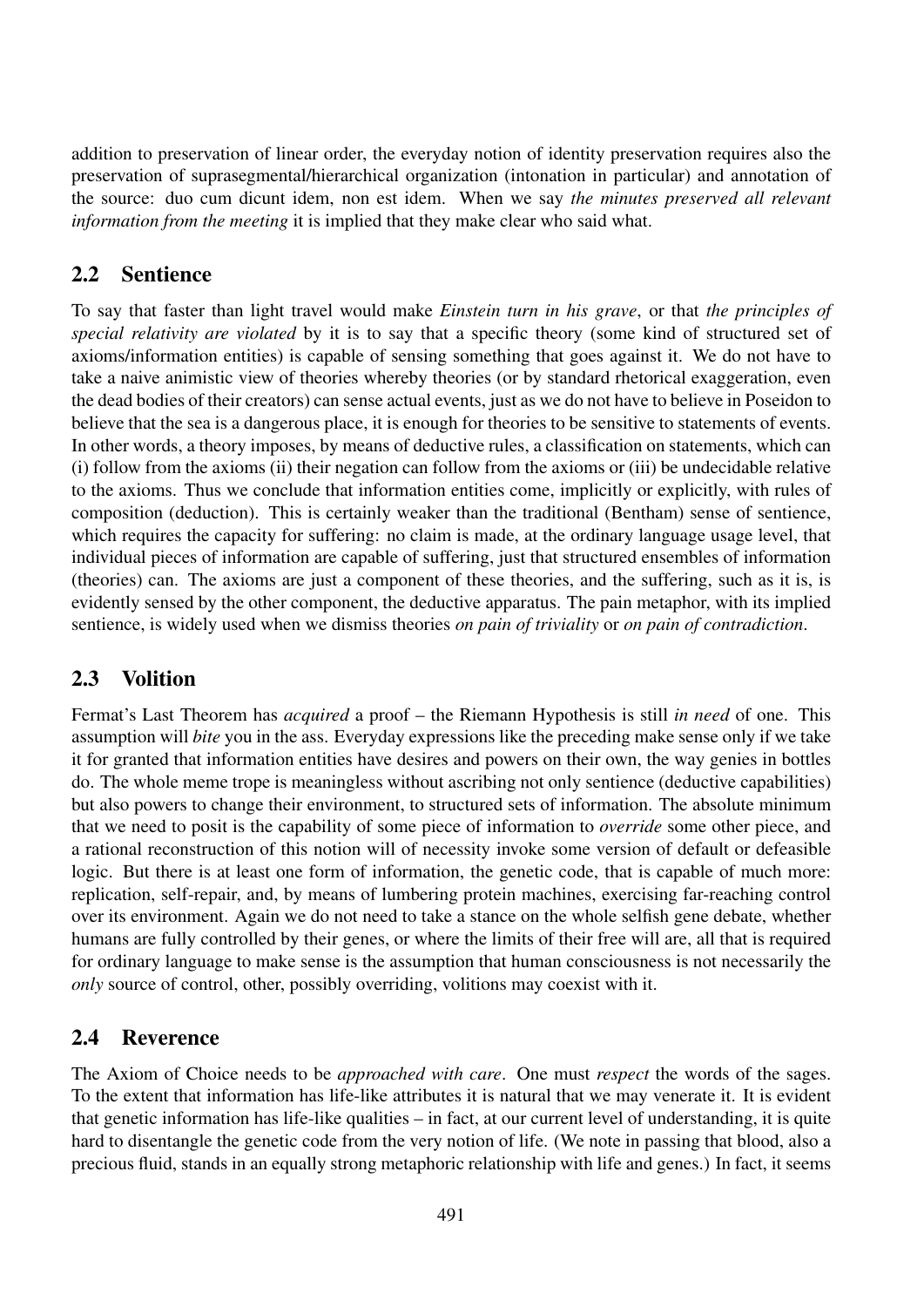addition to preservation of linear order, the everyday notion of identity preservation requires also the preservation of suprasegmental/hierarchical organization (intonation in particular) and annotation of the source: duo cum dicunt idem, non est idem. When we say *the minutes preserved all relevant information from the meeting* it is implied that they make clear who said what.

#### 2.2 Sentience

To say that faster than light travel would make *Einstein turn in his grave*, or that *the principles of special relativity are violated* by it is to say that a specific theory (some kind of structured set of axioms/information entities) is capable of sensing something that goes against it. We do not have to take a naive animistic view of theories whereby theories (or by standard rhetorical exaggeration, even the dead bodies of their creators) can sense actual events, just as we do not have to believe in Poseidon to believe that the sea is a dangerous place, it is enough for theories to be sensitive to statements of events. In other words, a theory imposes, by means of deductive rules, a classification on statements, which can (i) follow from the axioms (ii) their negation can follow from the axioms or (iii) be undecidable relative to the axioms. Thus we conclude that information entities come, implicitly or explicitly, with rules of composition (deduction). This is certainly weaker than the traditional (Bentham) sense of sentience, which requires the capacity for suffering: no claim is made, at the ordinary language usage level, that individual pieces of information are capable of suffering, just that structured ensembles of information (theories) can. The axioms are just a component of these theories, and the suffering, such as it is, is evidently sensed by the other component, the deductive apparatus. The pain metaphor, with its implied sentience, is widely used when we dismiss theories *on pain of triviality* or *on pain of contradiction*.

### 2.3 Volition

Fermat's Last Theorem has *acquired* a proof – the Riemann Hypothesis is still *in need* of one. This assumption will *bite* you in the ass. Everyday expressions like the preceding make sense only if we take it for granted that information entities have desires and powers on their own, the way genies in bottles do. The whole meme trope is meaningless without ascribing not only sentience (deductive capabilities) but also powers to change their environment, to structured sets of information. The absolute minimum that we need to posit is the capability of some piece of information to *override* some other piece, and a rational reconstruction of this notion will of necessity invoke some version of default or defeasible logic. But there is at least one form of information, the genetic code, that is capable of much more: replication, self-repair, and, by means of lumbering protein machines, exercising far-reaching control over its environment. Again we do not need to take a stance on the whole selfish gene debate, whether humans are fully controlled by their genes, or where the limits of their free will are, all that is required for ordinary language to make sense is the assumption that human consciousness is not necessarily the *only* source of control, other, possibly overriding, volitions may coexist with it.

### 2.4 Reverence

The Axiom of Choice needs to be *approached with care*. One must *respect* the words of the sages. To the extent that information has life-like attributes it is natural that we may venerate it. It is evident that genetic information has life-like qualities – in fact, at our current level of understanding, it is quite hard to disentangle the genetic code from the very notion of life. (We note in passing that blood, also a precious fluid, stands in an equally strong metaphoric relationship with life and genes.) In fact, it seems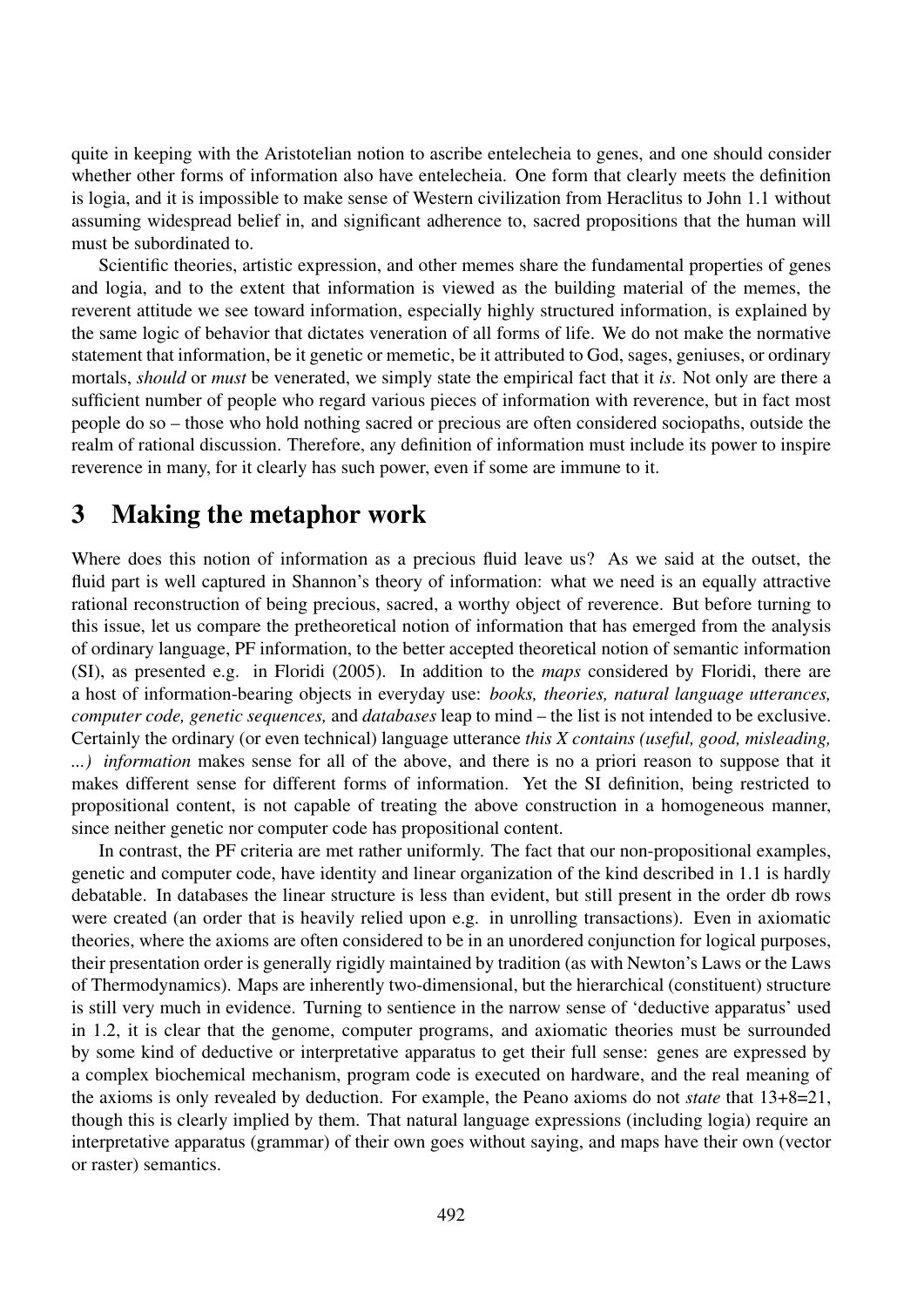quite in keeping with the Aristotelian notion to ascribe entelecheia to genes, and one should consider whether other forms of information also have entelecheia. One form that clearly meets the definition is logia, and it is impossible to make sense of Western civilization from Heraclitus to John 1.1 without assuming widespread belief in, and significant adherence to, sacred propositions that the human will must be subordinated to.

Scientific theories, artistic expression, and other memes share the fundamental properties of genes and logia, and to the extent that information is viewed as the building material of the memes, the reverent attitude we see toward information, especially highly structured information, is explained by the same logic of behavior that dictates veneration of all forms of life. We do not make the normative statement that information, be it genetic or memetic, be it attributed to God, sages, geniuses, or ordinary mortals, *should* or *must* be venerated, we simply state the empirical fact that it *is*. Not only are there a sufficient number of people who regard various pieces of information with reverence, but in fact most people do so – those who hold nothing sacred or precious are often considered sociopaths, outside the realm of rational discussion. Therefore, any definition of information must include its power to inspire reverence in many, for it clearly has such power, even if some are immune to it.

### 3 Making the metaphor work

Where does this notion of information as a precious fluid leave us? As we said at the outset, the fluid part is well captured in Shannon's theory of information: what we need is an equally attractive rational reconstruction of being precious, sacred, a worthy object of reverence. But before turning to this issue, let us compare the pretheoretical notion of information that has emerged from the analysis of ordinary language, PF information, to the better accepted theoretical notion of semantic information (SI), as presented e.g. in Floridi (2005). In addition to the *maps* considered by Floridi, there are a host of information-bearing objects in everyday use: *books, theories, natural language utterances, computer code, genetic sequences,* and *databases* leap to mind – the list is not intended to be exclusive. Certainly the ordinary (or even technical) language utterance *this X contains (useful, good, misleading, ...) information* makes sense for all of the above, and there is no a priori reason to suppose that it makes different sense for different forms of information. Yet the SI definition, being restricted to propositional content, is not capable of treating the above construction in a homogeneous manner, since neither genetic nor computer code has propositional content.

In contrast, the PF criteria are met rather uniformly. The fact that our non-propositional examples, genetic and computer code, have identity and linear organization of the kind described in 1.1 is hardly debatable. In databases the linear structure is less than evident, but still present in the order db rows were created (an order that is heavily relied upon e.g. in unrolling transactions). Even in axiomatic theories, where the axioms are often considered to be in an unordered conjunction for logical purposes, their presentation order is generally rigidly maintained by tradition (as with Newton's Laws or the Laws of Thermodynamics). Maps are inherently two-dimensional, but the hierarchical (constituent) structure is still very much in evidence. Turning to sentience in the narrow sense of 'deductive apparatus' used in 1.2, it is clear that the genome, computer programs, and axiomatic theories must be surrounded by some kind of deductive or interpretative apparatus to get their full sense: genes are expressed by a complex biochemical mechanism, program code is executed on hardware, and the real meaning of the axioms is only revealed by deduction. For example, the Peano axioms do not *state* that 13+8=21, though this is clearly implied by them. That natural language expressions (including logia) require an interpretative apparatus (grammar) of their own goes without saying, and maps have their own (vector or raster) semantics.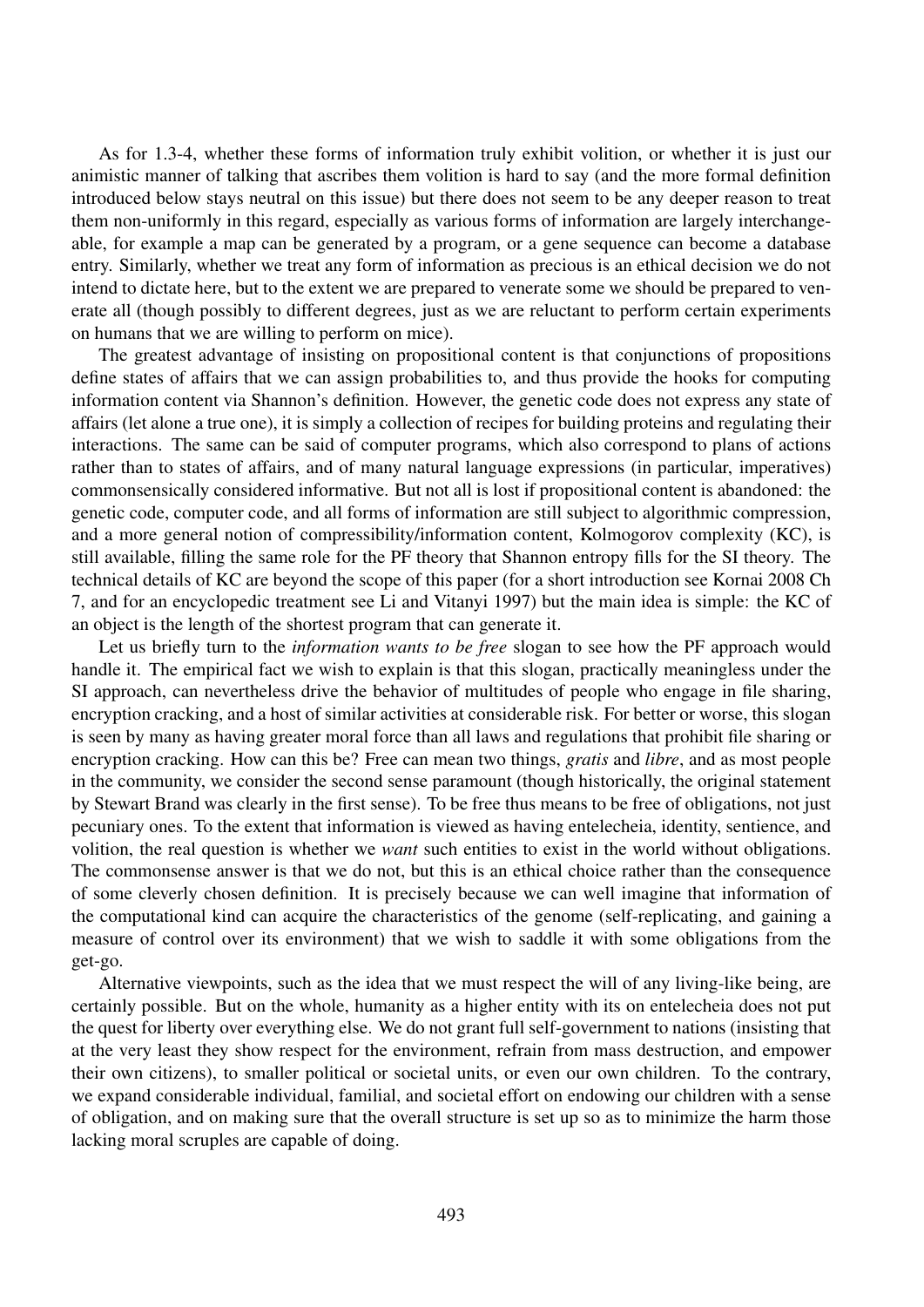As for 1.3-4, whether these forms of information truly exhibit volition, or whether it is just our animistic manner of talking that ascribes them volition is hard to say (and the more formal definition introduced below stays neutral on this issue) but there does not seem to be any deeper reason to treat them non-uniformly in this regard, especially as various forms of information are largely interchangeable, for example a map can be generated by a program, or a gene sequence can become a database entry. Similarly, whether we treat any form of information as precious is an ethical decision we do not intend to dictate here, but to the extent we are prepared to venerate some we should be prepared to venerate all (though possibly to different degrees, just as we are reluctant to perform certain experiments on humans that we are willing to perform on mice).

The greatest advantage of insisting on propositional content is that conjunctions of propositions define states of affairs that we can assign probabilities to, and thus provide the hooks for computing information content via Shannon's definition. However, the genetic code does not express any state of affairs (let alone a true one), it is simply a collection of recipes for building proteins and regulating their interactions. The same can be said of computer programs, which also correspond to plans of actions rather than to states of affairs, and of many natural language expressions (in particular, imperatives) commonsensically considered informative. But not all is lost if propositional content is abandoned: the genetic code, computer code, and all forms of information are still subject to algorithmic compression, and a more general notion of compressibility/information content, Kolmogorov complexity (KC), is still available, filling the same role for the PF theory that Shannon entropy fills for the SI theory. The technical details of KC are beyond the scope of this paper (for a short introduction see Kornai 2008 Ch 7, and for an encyclopedic treatment see Li and Vitanyi 1997) but the main idea is simple: the KC of an object is the length of the shortest program that can generate it.

Let us briefly turn to the *information wants to be free* slogan to see how the PF approach would handle it. The empirical fact we wish to explain is that this slogan, practically meaningless under the SI approach, can nevertheless drive the behavior of multitudes of people who engage in file sharing, encryption cracking, and a host of similar activities at considerable risk. For better or worse, this slogan is seen by many as having greater moral force than all laws and regulations that prohibit file sharing or encryption cracking. How can this be? Free can mean two things, *gratis* and *libre*, and as most people in the community, we consider the second sense paramount (though historically, the original statement by Stewart Brand was clearly in the first sense). To be free thus means to be free of obligations, not just pecuniary ones. To the extent that information is viewed as having entelecheia, identity, sentience, and volition, the real question is whether we *want* such entities to exist in the world without obligations. The commonsense answer is that we do not, but this is an ethical choice rather than the consequence of some cleverly chosen definition. It is precisely because we can well imagine that information of the computational kind can acquire the characteristics of the genome (self-replicating, and gaining a measure of control over its environment) that we wish to saddle it with some obligations from the get-go.

Alternative viewpoints, such as the idea that we must respect the will of any living-like being, are certainly possible. But on the whole, humanity as a higher entity with its on entelecheia does not put the quest for liberty over everything else. We do not grant full self-government to nations (insisting that at the very least they show respect for the environment, refrain from mass destruction, and empower their own citizens), to smaller political or societal units, or even our own children. To the contrary, we expand considerable individual, familial, and societal effort on endowing our children with a sense of obligation, and on making sure that the overall structure is set up so as to minimize the harm those lacking moral scruples are capable of doing.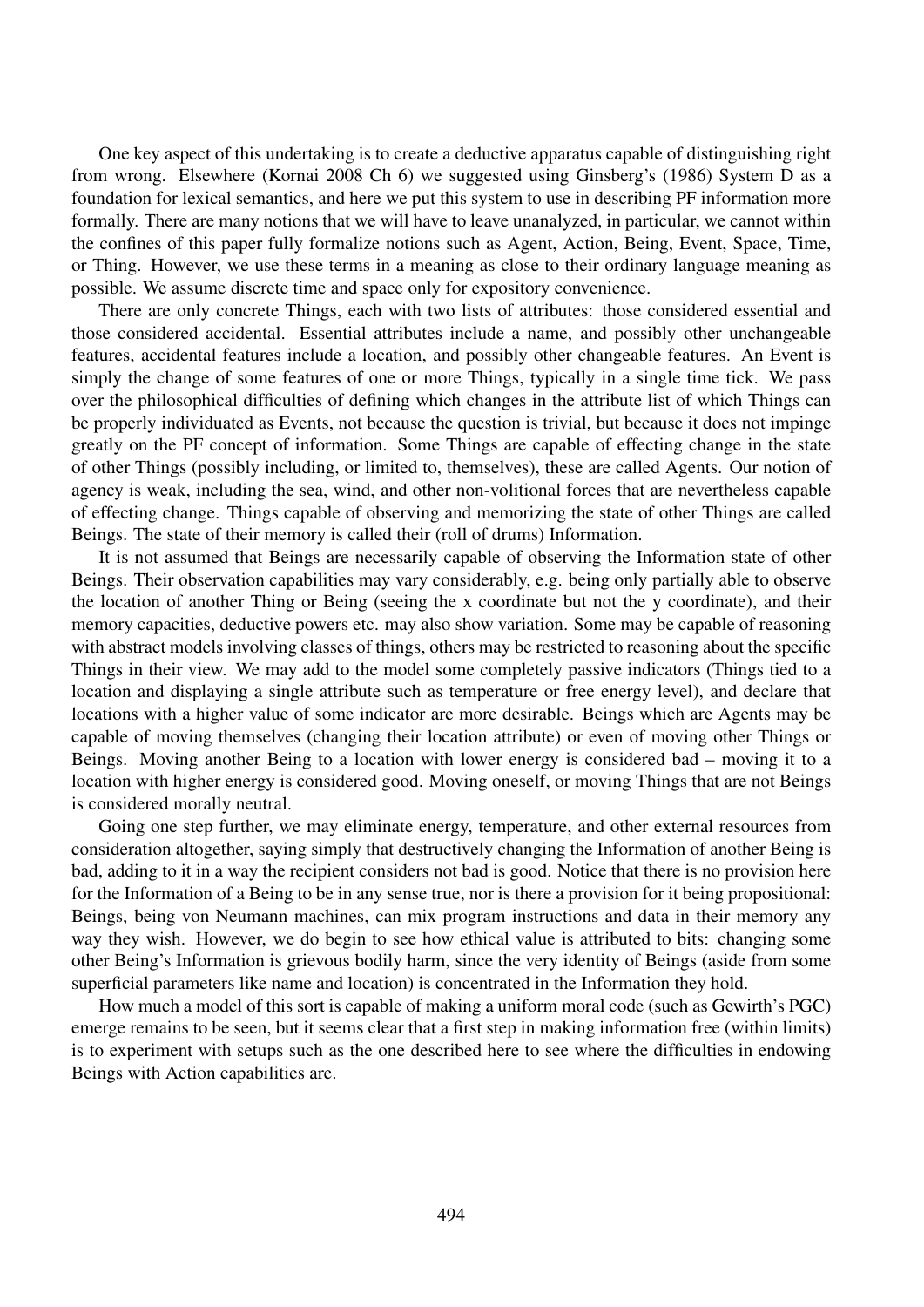One key aspect of this undertaking is to create a deductive apparatus capable of distinguishing right from wrong. Elsewhere (Kornai 2008 Ch 6) we suggested using Ginsberg's (1986) System D as a foundation for lexical semantics, and here we put this system to use in describing PF information more formally. There are many notions that we will have to leave unanalyzed, in particular, we cannot within the confines of this paper fully formalize notions such as Agent, Action, Being, Event, Space, Time, or Thing. However, we use these terms in a meaning as close to their ordinary language meaning as possible. We assume discrete time and space only for expository convenience.

There are only concrete Things, each with two lists of attributes: those considered essential and those considered accidental. Essential attributes include a name, and possibly other unchangeable features, accidental features include a location, and possibly other changeable features. An Event is simply the change of some features of one or more Things, typically in a single time tick. We pass over the philosophical difficulties of defining which changes in the attribute list of which Things can be properly individuated as Events, not because the question is trivial, but because it does not impinge greatly on the PF concept of information. Some Things are capable of effecting change in the state of other Things (possibly including, or limited to, themselves), these are called Agents. Our notion of agency is weak, including the sea, wind, and other non-volitional forces that are nevertheless capable of effecting change. Things capable of observing and memorizing the state of other Things are called Beings. The state of their memory is called their (roll of drums) Information.

It is not assumed that Beings are necessarily capable of observing the Information state of other Beings. Their observation capabilities may vary considerably, e.g. being only partially able to observe the location of another Thing or Being (seeing the x coordinate but not the y coordinate), and their memory capacities, deductive powers etc. may also show variation. Some may be capable of reasoning with abstract models involving classes of things, others may be restricted to reasoning about the specific Things in their view. We may add to the model some completely passive indicators (Things tied to a location and displaying a single attribute such as temperature or free energy level), and declare that locations with a higher value of some indicator are more desirable. Beings which are Agents may be capable of moving themselves (changing their location attribute) or even of moving other Things or Beings. Moving another Being to a location with lower energy is considered bad – moving it to a location with higher energy is considered good. Moving oneself, or moving Things that are not Beings is considered morally neutral.

Going one step further, we may eliminate energy, temperature, and other external resources from consideration altogether, saying simply that destructively changing the Information of another Being is bad, adding to it in a way the recipient considers not bad is good. Notice that there is no provision here for the Information of a Being to be in any sense true, nor is there a provision for it being propositional: Beings, being von Neumann machines, can mix program instructions and data in their memory any way they wish. However, we do begin to see how ethical value is attributed to bits: changing some other Being's Information is grievous bodily harm, since the very identity of Beings (aside from some superficial parameters like name and location) is concentrated in the Information they hold.

How much a model of this sort is capable of making a uniform moral code (such as Gewirth's PGC) emerge remains to be seen, but it seems clear that a first step in making information free (within limits) is to experiment with setups such as the one described here to see where the difficulties in endowing Beings with Action capabilities are.